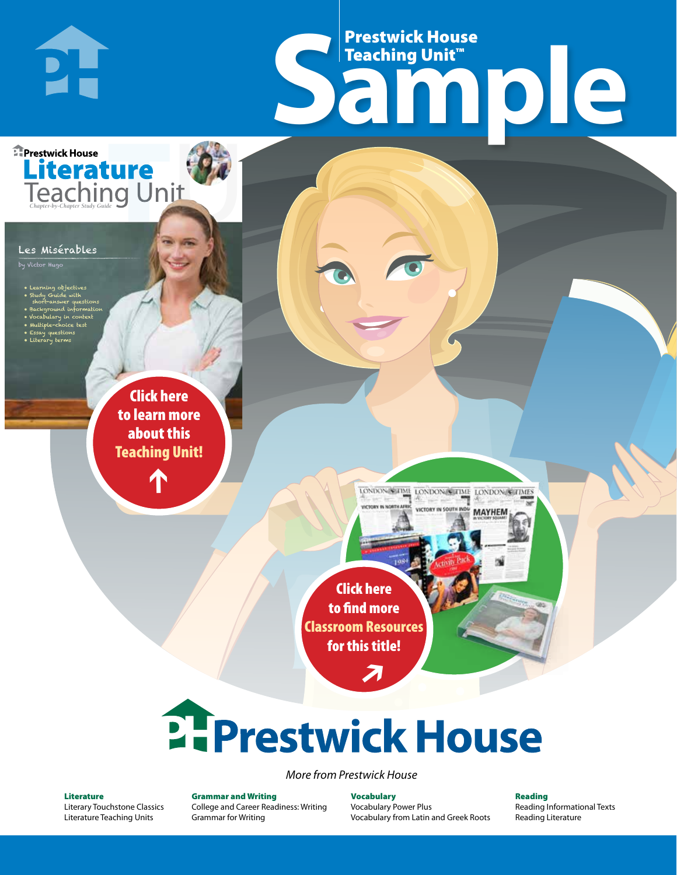# Frestwick House<br>
Sample Prestwick House Teaching Unit™

LONDON-SCITME LONDON/SCITME LONDON/SCITMES

**MAYHEM** 

**Prestwick House** Literature

#### Les Misérables

**PH** 

by Victor Hugo

- Learning objectives
- Study Guide with short-answer questions
- Background information
- Vocabulary in context • Multiple-choice test

CHARLES DICKENS

- Essay questions
- **A Tale of Two Cities** • Literary terms

r e o r d e r n o . x x x x x x Click here to learn more about this [Teaching Unit!](https://www.prestwickhouse.com/pdf/id-200972/Les_Miserables_-_Downloadable_Teaching_Unit)

 $\mathbf{T}$ 

1

Click here to find more [Classroom Resources](http://teaching-english.prestwickhouse.com/search#w=les%20miserables)  for this title!

 $\overline{\boldsymbol{\lambda}}$ 

# 2. Prestwick House

#### *More from Prestwick House*

#### Literature

[Literary Touchstone Classics](https://www.prestwickhouse.com/literary-touchstone-classics) [Literature Teaching Units](https://www.prestwickhouse.com/teaching-units)

Grammar and Writing [College and Career Readiness: Writing](https://www.prestwickhouse.com/college-and-career-readiness-writing) [Grammar for Writing](https://www.prestwickhouse.com/book/id-302639/Grammar_for_Writing_-_30_Books_and_Teachers_Edition)

Vocabulary [Vocabulary Power Plus](https://www.prestwickhouse.com/vocabulary-power-plus-for-college-and-career-readiness) [Vocabulary from Latin and Greek Roots](https://www.prestwickhouse.com/vocabulary-from-latin-and-greek-roots) Reading

[Reading Informational Texts](https://www.prestwickhouse.com/reading-informational-texts) [Reading Literature](https://www.prestwickhouse.com/reading-literature)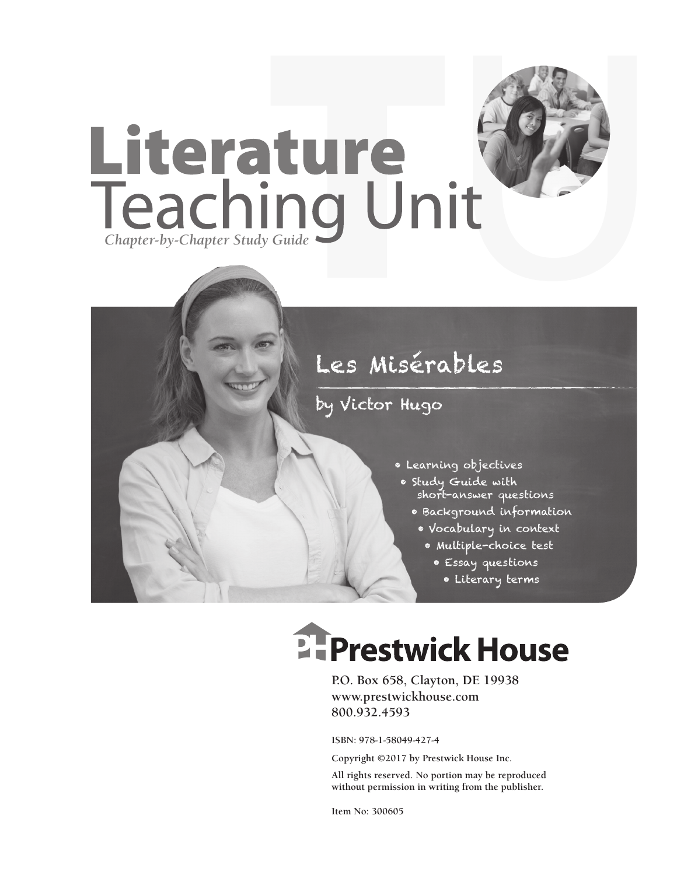

### by Victor Hugo

- Learning objectives
- Study Guide with short-answer questions
	- Background information
	- Vocabulary in context
		- Multiple-choice test
			- Essay questions
				- Literary terms

# **Ellenger Prestwick House**

**P.O. Box 658, Clayton, DE 19938 www.prestwickhouse.com 800.932.4593**

**ISBN: 978-1-58049-427-4**

**Copyright ©2017 by Prestwick House Inc.**

**All rights reserved. No portion may be reproduced without permission in writing from the publisher.** 

**Item No: 300605**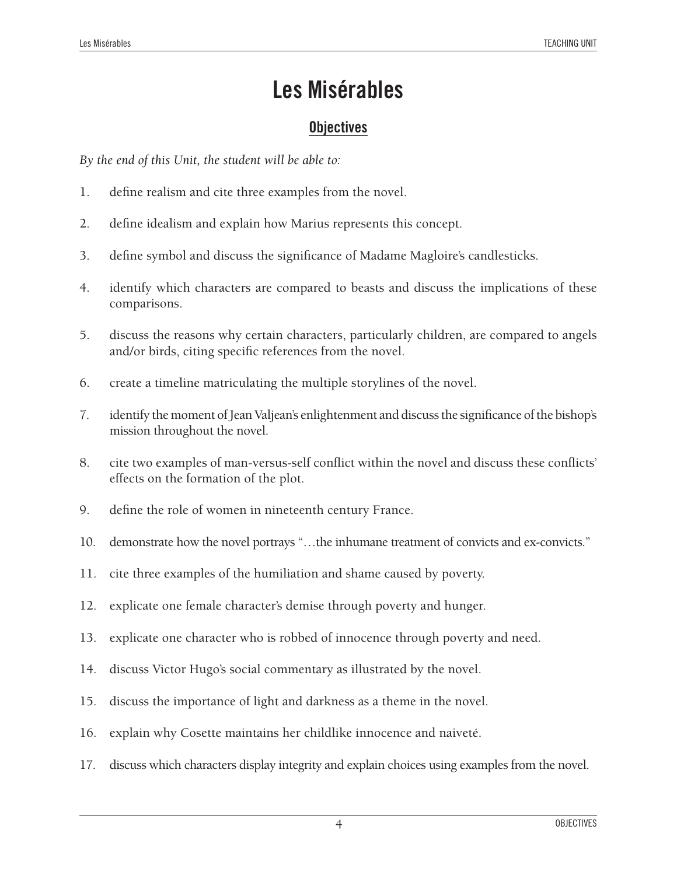#### **Objectives**

*By the end of this Unit, the student will be able to:*

- 1. define realism and cite three examples from the novel.
- 2. define idealism and explain how Marius represents this concept.
- 3. define symbol and discuss the significance of Madame Magloire's candlesticks.
- 4. identify which characters are compared to beasts and discuss the implications of these comparisons.
- 5. discuss the reasons why certain characters, particularly children, are compared to angels and/or birds, citing specific references from the novel.
- 6. create a timeline matriculating the multiple storylines of the novel.
- 7. identify the moment of Jean Valjean's enlightenment and discuss the significance of the bishop's mission throughout the novel.
- 8. cite two examples of man-versus-self conflict within the novel and discuss these conflicts' effects on the formation of the plot.
- 9. define the role of women in nineteenth century France.
- 10. demonstrate how the novel portrays "...the inhumane treatment of convicts and ex-convicts."
- 11. cite three examples of the humiliation and shame caused by poverty.
- 12. explicate one female character's demise through poverty and hunger.
- 13. explicate one character who is robbed of innocence through poverty and need.
- 14. discuss Victor Hugo's social commentary as illustrated by the novel.
- 15. discuss the importance of light and darkness as a theme in the novel.
- 16. explain why Cosette maintains her childlike innocence and naiveté.
- 17. discuss which characters display integrity and explain choices using examples from the novel.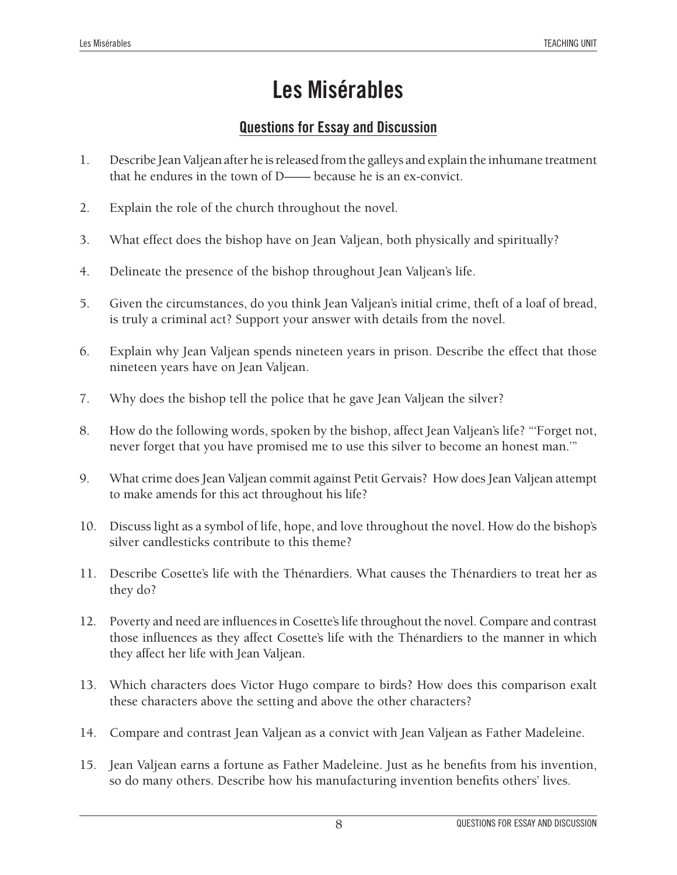#### **Questions for Essay and Discussion**

- 1. Describe Jean Valjean after he is released from the galleys and explain the inhumane treatment that he endures in the town of D—— because he is an ex-convict.
- 2. Explain the role of the church throughout the novel.
- 3. What effect does the bishop have on Jean Valjean, both physically and spiritually?
- 4. Delineate the presence of the bishop throughout Jean Valjean's life.
- 5. Given the circumstances, do you think Jean Valjean's initial crime, theft of a loaf of bread, is truly a criminal act? Support your answer with details from the novel.
- 6. Explain why Jean Valjean spends nineteen years in prison. Describe the effect that those nineteen years have on Jean Valjean.
- 7. Why does the bishop tell the police that he gave Jean Valjean the silver?
- 8. How do the following words, spoken by the bishop, affect Jean Valjean's life? "'Forget not, never forget that you have promised me to use this silver to become an honest man.'"
- 9. What crime does Jean Valjean commit against Petit Gervais? How does Jean Valjean attempt to make amends for this act throughout his life?
- 10. Discuss light as a symbol of life, hope, and love throughout the novel. How do the bishop's silver candlesticks contribute to this theme?
- 11. Describe Cosette's life with the Thénardiers. What causes the Thénardiers to treat her as they do?
- 12. Poverty and need are influences in Cosette's life throughout the novel. Compare and contrast those influences as they affect Cosette's life with the Thénardiers to the manner in which they affect her life with Jean Valjean.
- 13. Which characters does Victor Hugo compare to birds? How does this comparison exalt these characters above the setting and above the other characters?
- 14. Compare and contrast Jean Valjean as a convict with Jean Valjean as Father Madeleine.
- 15. Jean Valjean earns a fortune as Father Madeleine. Just as he benefits from his invention, so do many others. Describe how his manufacturing invention benefits others' lives.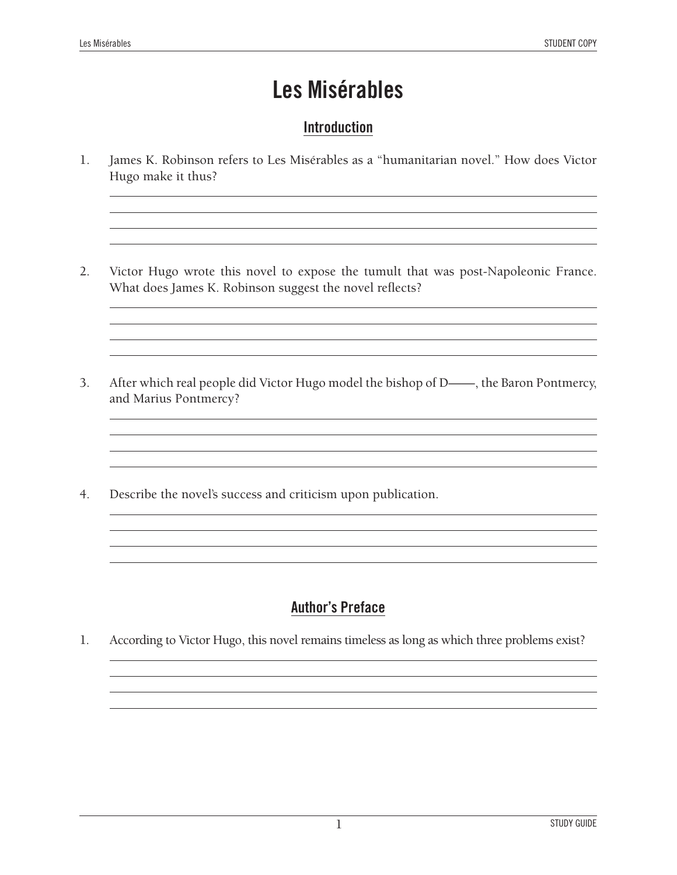#### **Introduction**

- 1. James K. Robinson refers to Les Misérables as a "humanitarian novel." How does Victor Hugo make it thus?
- 2. Victor Hugo wrote this novel to expose the tumult that was post-Napoleonic France. What does James K. Robinson suggest the novel reflects?

the control of the control of the control of the control of the control of

3. After which real people did Victor Hugo model the bishop of D——, the Baron Pontmercy, and Marius Pontmercy?

<u> 1989 - Johann Stoff, amerikansk politiker (\* 1908)</u>

<u> 1989 - Johann Barbara, martxa alemaniar amerikan basar da a</u>

4. Describe the novel's success and criticism upon publication.

#### **Author's Preface**

1. According to Victor Hugo, this novel remains timeless as long as which three problems exist?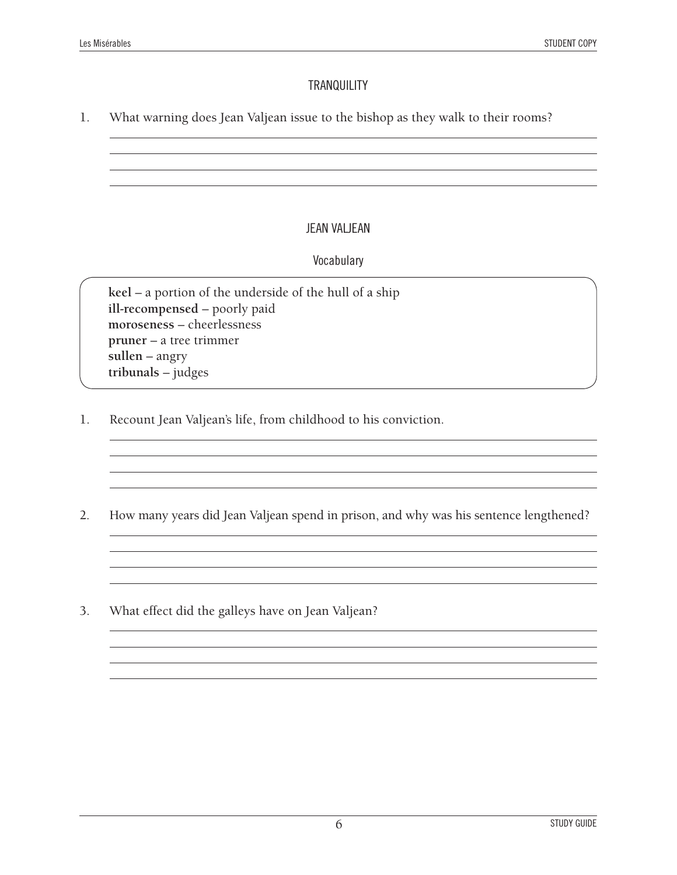#### **TRANQUILITY**

1. What warning does Jean Valjean issue to the bishop as they walk to their rooms?

#### JEAN VALJEAN

#### Vocabulary

**keel** – a portion of the underside of the hull of a ship **ill-recompensed** – poorly paid **moroseness** – cheerlessness **pruner** – a tree trimmer **sullen** – angry **tribunals** – judges

1. Recount Jean Valjean's life, from childhood to his conviction.

<u> 1989 - Johann Stoff, deutscher Stoffen und der Stoffen und der Stoffen und der Stoffen und der Stoffen und der</u>

2. How many years did Jean Valjean spend in prison, and why was his sentence lengthened?

<u> 1989 - Johann Barbara, martxa alemaniar a</u>

<u> 1989 - Andrea Santa Alemania, amerikana amerikana amerikana amerikana amerikana amerikana amerikana amerikan</u>

and the control of the control of the control of the control of the control of the control of the control of the

3. What effect did the galleys have on Jean Valjean?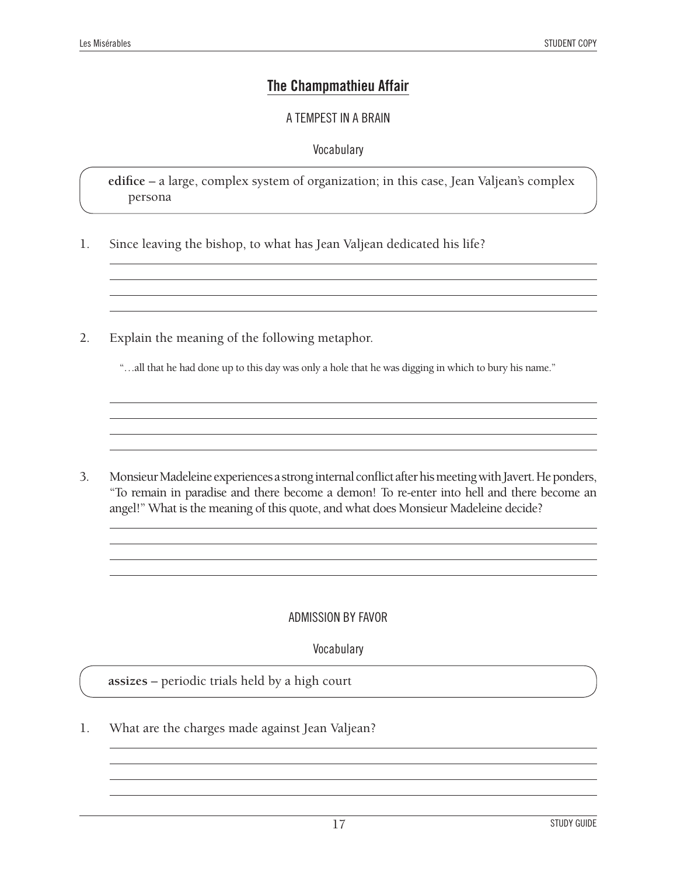#### **The Champmathieu Affair**

#### A TEMPEST IN A BRAIN

#### **Vocabulary**

**edifice** – a large, complex system of organization; in this case, Jean Valjean's complex persona

- 1. Since leaving the bishop, to what has Jean Valjean dedicated his life?
- 2. Explain the meaning of the following metaphor.

"…all that he had done up to this day was only a hole that he was digging in which to bury his name."

<u> 1989 - Johann Barn, mars ann an t-Amhain Aonaich an t-Aonaich an t-Aonaich an t-Aonaich an t-Aonaich an t-Aon</u>

3. Monsieur Madeleine experiences a strong internal conflict after his meeting with Javert. He ponders, "To remain in paradise and there become a demon! To re-enter into hell and there become an angel!" What is the meaning of this quote, and what does Monsieur Madeleine decide?

#### ADMISSION BY FAVOR

Vocabulary

**assizes** – periodic trials held by a high court

1. What are the charges made against Jean Valjean?